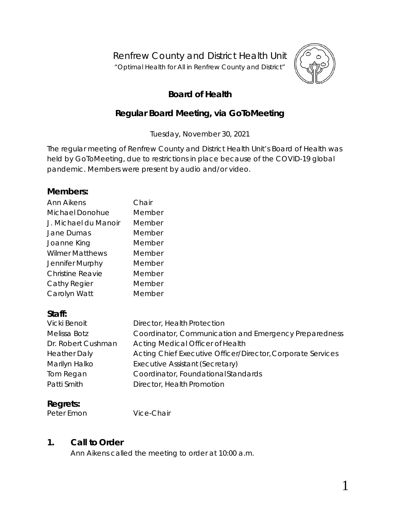Renfrew County and District Health Unit

"*Optimal Health for All in Renfrew County and District"*



# **Board of Health**

# **Regular Board Meeting, via** *GoToMeeting*

Tuesday, November 30, 2021

The regular meeting of Renfrew County and District Health Unit's Board of Health was held by *GoToMeeting,* due to restrictions in place because of the COVID-19 global pandemic. Members were present by audio and/or video.

### **Members:**

| <b>Ann Aikens</b>       | Chair  |
|-------------------------|--------|
| Michael Donohue         | Member |
| J. Michael du Manoir    | Member |
| Jane Dumas              | Member |
| Joanne King             | Member |
| <b>Wilmer Matthews</b>  | Member |
| Jennifer Murphy         | Member |
| <b>Christine Reavie</b> | Member |
| Cathy Regier            | Member |
| Carolyn Watt            | Member |

## **Staff:**

| <b>Vicki Benoit</b> | Director, Health Protection                                 |
|---------------------|-------------------------------------------------------------|
| Melissa Botz        | Coordinator, Communication and Emergency Preparedness       |
| Dr. Robert Cushman  | Acting Medical Officer of Health                            |
| <b>Heather Daly</b> | Acting Chief Executive Officer/Director, Corporate Services |
| Marilyn Halko       | Executive Assistant (Secretary)                             |
| Tom Regan           | Coordinator, Foundational Standards                         |
| Patti Smith         | Director, Health Promotion                                  |

# **Regrets:**

Peter Emon Vice-Chair

## **1. Call to Order**

Ann Aikens called the meeting to order at 10:00 a.m.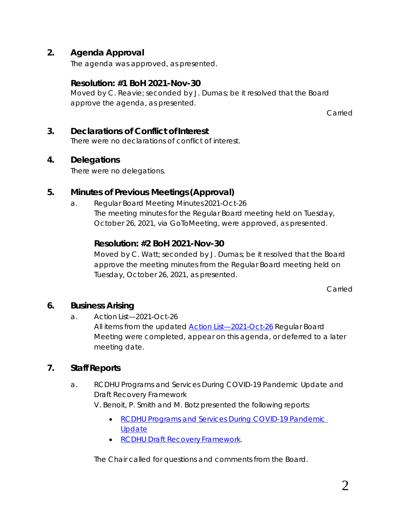# **2. Agenda Approval**

The agenda was approved, as presented.

### **Resolution: #1 BoH 2021-Nov-30**

Moved by C. Reavie; seconded by J. Dumas; be it resolved that the Board approve the agenda, as presented.

Carried

### **3. Declarations of Conflict of Interest**

There were no declarations of conflict of interest.

### **4. Delegations**

There were no delegations.

## **5. Minutes of Previous Meetings (Approval)**

a. Regular Board Meeting Minutes 2021-Oct-26 The meeting minutes for the Regular Board meeting held on Tuesday, October 26, 2021, via *GoToMeeting*, were approved, as presented.

## **Resolution: #2 BoH 2021-Nov-30**

Moved by C. Watt; seconded by J. Dumas; be it resolved that the Board approve the meeting minutes from the Regular Board meeting held on Tuesday, October 26, 2021, as presented.

Carried

## **6. Business Arising**

a. Action List—2021-Oct-26 All items from the updated *[Action List—2021-Oct-26](https://www.rcdhu.com/wp-content/uploads/2021/12/06.-a.-Action-List-Regular-BoH-Meeting-2021-Oct-26-updated.pdf)* Regular Board Meeting were completed, appear on this agenda, or deferred to a later meeting date.

## **7. Staff Reports**

a. RCDHU Programs and Services During COVID-19 Pandemic Update and Draft Recovery Framework

V. Benoit, P. Smith and M. Botz presented the following reports:

- *[RCDHU Programs and Services During COVID-19 Pandemic](https://www.rcdhu.com/wp-content/uploads/2021/12/07.-b.-i.-RCDHU-Programs-and-Services-During-COVID-19-Pandemic-Update.pdf)  [Update](https://www.rcdhu.com/wp-content/uploads/2021/12/07.-b.-i.-RCDHU-Programs-and-Services-During-COVID-19-Pandemic-Update.pdf)*
- *[RCDHU Draft Recovery](https://www.rcdhu.com/wp-content/uploads/2021/12/07.-b.-ii.-RCDHU-Recovery-Framework.pdf) Framework*.

The Chair called for questions and comments from the Board.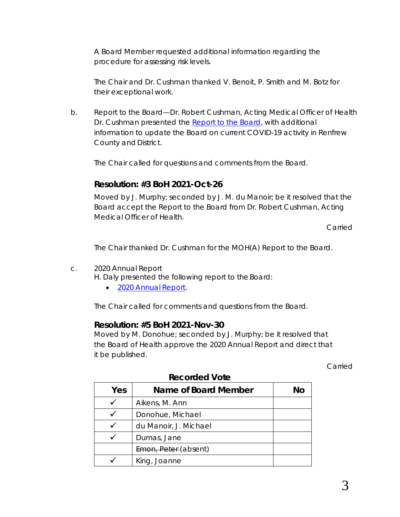A Board Member requested additional information regarding the procedure for assessing risk levels.

The Chair and Dr. Cushman thanked V. Benoit, P. Smith and M. Botz for their exceptional work.

b. Report to the Board—Dr. Robert Cushman, Acting Medical Officer of Health Dr. Cushman presented the *[Report to the Board](https://www.rcdhu.com/wp-content/uploads/2021/12/07.-a.-Report-to-the-Board-MOHA.pdf)*, with additional information to update the Board on current COVID-19 activity in Renfrew County and District.

The Chair called for questions and comments from the Board.

### **Resolution: #3 BoH 2021-Oct-26**

Moved by J. Murphy; seconded by J. M. du Manoir; be it resolved that the Board accept the Report to the Board from Dr. Robert Cushman, Acting Medical Officer of Health.

Carried

The Chair thanked Dr. Cushman for the MOH(A) *Report to the Board*.

c. 2020 Annual Report

H. Daly presented the following report to the Board:

• *[2020 Annual](https://www.rcdhu.com/wp-content/uploads/2021/12/FINAL-2020-Annual-Report-Nov-25-2021.pdf) Report*.

The Chair called for comments and questions from the Board.

#### **Resolution: #5 BoH 2021-Nov-30**

Moved by M. Donohue; seconded by J. Murphy; be it resolved that the Board of Health approve the 2020 Annual Report and direct that it be published.

Carried

| Yes | Name of Board Member  | Νo |
|-----|-----------------------|----|
|     | Aikens, M. Ann        |    |
|     | Donohue, Michael      |    |
|     | du Manoir, J. Michael |    |
|     | Dumas, Jane           |    |
|     | Emon, Peter (absent)  |    |
|     | King, Joanne          |    |

#### **Recorded Vote**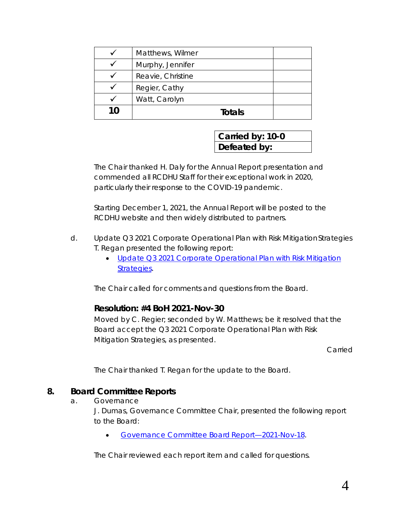|    | Matthews, Wilmer  |  |
|----|-------------------|--|
|    | Murphy, Jennifer  |  |
|    | Reavie, Christine |  |
|    | Regier, Cathy     |  |
|    | Watt, Carolyn     |  |
| 10 | Totals            |  |

**Carried by: 10-0 Defeated by:**

The Chair thanked H. Daly for the Annual Report presentation and commended all RCDHU Staff for their exceptional work in 2020, particularly their response to the COVID-19 pandemic.

Starting December 1, 2021, the Annual Report will be posted to the RCDHU website and then widely distributed to partners.

- d. Update Q3 2021 Corporate Operational Plan with Risk MitigationStrategies T. Regan presented the following report:
	- *[Update Q3 2021 Corporate Operational Plan with Risk Mitigation](https://www.rcdhu.com/wp-content/uploads/2021/12/07.-c.-Update-Q3-2021-Corporate-Operational-Plan-and-Risk-Mitigation-Strategies.pdf)  [Strategies](https://www.rcdhu.com/wp-content/uploads/2021/12/07.-c.-Update-Q3-2021-Corporate-Operational-Plan-and-Risk-Mitigation-Strategies.pdf)*.

The Chair called for comments and questions from the Board.

#### **Resolution: #4 BoH 2021-Nov-30**

Moved by C. Regier; seconded by W. Matthews; be it resolved that the Board accept the *Q3 2021 Corporate Operational Plan with Risk Mitigation Strategies*, as presented.

Carried

The Chair thanked T. Regan for the update to the Board.

#### **8. Board Committee Reports**

a. Governance

J. Dumas, Governance Committee Chair, presented the following report to the Board:

• *[Governance Committee Board](https://www.rcdhu.com/wp-content/uploads/2021/12/08.-a.-Governance-Committee-Board-Report-2021-Nov-30.pdf) Report—2021-Nov-18*.

The Chair reviewed each report item and called for questions.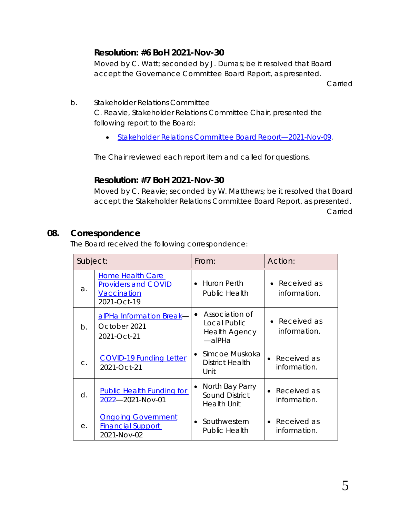# **Resolution: #6 BoH 2021-Nov-30**

Moved by C. Watt; seconded by J. Dumas; be it resolved that Board accept the Governance Committee Board Report, as presented.

Carried

- b. Stakeholder Relations Committee C. Reavie, Stakeholder Relations Committee Chair, presented the following report to the Board:
	- *[Stakeholder Relations Committee Board](https://www.rcdhu.com/wp-content/uploads/2021/12/08.-b.-Stakeholder-Relations-Committee-Report-2021-Nov-30-1.pdf) Report—2021-Nov-09*.

The Chair reviewed each report item and called for questions.

## **Resolution: #7 BoH 2021-Nov-30**

Moved by C. Reavie; seconded by W. Matthews; be it resolved that Board accept the Stakeholder Relations Committee Board Report, as presented. Carried

## **08. Correspondence**

The Board received the following correspondence:

| Subject:   |                                                                                     | From:                                                                       | Action:                                  |
|------------|-------------------------------------------------------------------------------------|-----------------------------------------------------------------------------|------------------------------------------|
| $\Delta$ . | Home Health Care<br><b>Providers and COVID</b><br><b>Vaccination</b><br>2021-Oct-19 | Huron Perth<br>$\bullet$<br><b>Public Health</b>                            | Received as<br>information.              |
| $b$ .      | alPHa Information Break-<br>October 2021<br>2021-Oct-21                             | Association of<br>Local Public<br><b>Health Agency</b><br>$-\alpha$ PHa     | Received as<br>information.              |
| C.         | <b>COVID-19 Funding Letter</b><br>2021-Oct-21                                       | Simcoe Muskoka<br>$\bullet$<br>District Health<br>Unit                      | Received as<br>information.              |
| d.         | <b>Public Health Funding for</b><br>2022-2021-Nov-01                                | North Bay Parry<br>$\bullet$<br><b>Sound District</b><br><b>Health Unit</b> | Received as<br>$\bullet$<br>information. |
| е.         | <b>Ongoing Government</b><br><b>Financial Support</b><br>2021-Nov-02                | Southwestern<br>$\bullet$<br><b>Public Health</b>                           | Received as<br>information.              |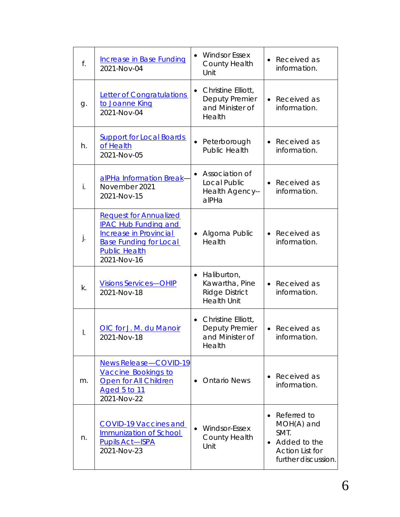| f. | <b>Increase in Base Funding</b><br>2021-Nov-04                                                                                                                 | <b>Windsor Essex</b><br>$\bullet$<br>County Health<br>Unit                                | Received as<br>information.                                                                            |
|----|----------------------------------------------------------------------------------------------------------------------------------------------------------------|-------------------------------------------------------------------------------------------|--------------------------------------------------------------------------------------------------------|
| g. | <b>Letter of Congratulations</b><br>to Joanne King<br>2021-Nov-04                                                                                              | Christine Elliott,<br>$\bullet$<br>Deputy Premier<br>and Minister of<br>Health            | Received as<br>$\bullet$<br>information.                                                               |
| h. | <b>Support for Local Boards</b><br>of Health<br>2021-Nov-05                                                                                                    | Peterborough<br>$\bullet$<br><b>Public Health</b>                                         | Received as<br>$\bullet$<br>information.                                                               |
| İ. | alPHa Information Break-<br>November 2021<br>2021-Nov-15                                                                                                       | Association of<br>$\bullet$<br>Local Public<br>Health Agency--<br>alPHa                   | • Received as<br>information.                                                                          |
| j. | <b>Request for Annualized</b><br><b>IPAC Hub Funding and</b><br>Increase in Provincial<br><b>Base Funding for Local</b><br><b>Public Health</b><br>2021-Nov-16 | Algoma Public<br>$\bullet$<br>Health                                                      | Received as<br>$\bullet$<br>information.                                                               |
| k. | <b>Visions Services-OHIP</b><br>2021-Nov-18                                                                                                                    | Haliburton,<br>$\bullet$<br>Kawartha, Pine<br><b>Ridge District</b><br><b>Health Unit</b> | Received as<br>$\bullet$<br>information.                                                               |
| Ι. | OIC for J. M. du Manoir<br>2021-Nov-18                                                                                                                         | Christine Elliott,<br>$\bullet$<br><b>Deputy Premier</b><br>and Minister of<br>Health     | Received as<br>information.                                                                            |
| m. | <b>News Release-COVID-19</b><br><b>Vaccine Bookings to</b><br><b>Open for All Children</b><br><u>Aged 5 to 11</u><br>2021-Nov-22                               | <b>Ontario News</b>                                                                       | Received as<br>information.                                                                            |
| n. | <b>COVID-19 Vaccines and</b><br>Immunization of School<br><b>Pupils Act-ISPA</b><br>2021-Nov-23                                                                | <b>Windsor-Essex</b><br>$\bullet$<br>County Health<br>Unit                                | Referred to<br>$MOH(A)$ and<br>SMT.<br>• Added to the<br><b>Action List for</b><br>further discussion. |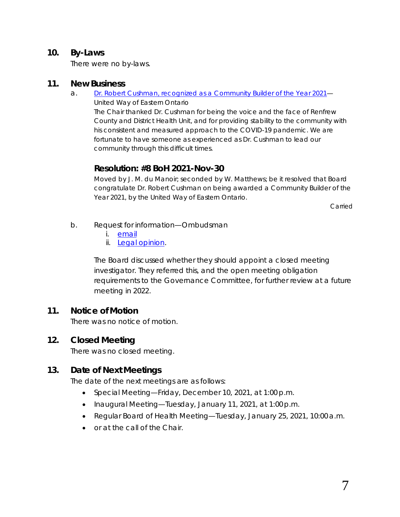#### **10. By-Laws**

There were no by-laws.

#### **11. New Business**

- a. *[Dr. Robert Cushman, recognized as a Community Builder of the Year 2021](https://www.rcdhu.com/wp-content/uploads/2021/12/11.-a.-Community-Builder-of-the-Year-2021-Award-Recipient-United-Way-East-Ontario.pdf)*
	- United Way of Eastern Ontario

The Chair thanked Dr. Cushman for being the voice and the face of Renfrew County and District Health Unit, and for providing stability to the community with his consistent and measured approach to the COVID-19 pandemic. We are fortunate to have someone as experienced as Dr. Cushman to lead our community through this difficult times.

## **Resolution: #8 BoH 2021-Nov-30**

Moved by J. M. du Manoir; seconded by W. Matthews; be it resolved that Board congratulate Dr. Robert Cushman on being awarded a Community Builder of the Year 2021, by the United Way of Eastern Ontario.

Carried

- b. Request for information—Ombudsman
	- i. *[email](https://www.rcdhu.com/wp-content/uploads/2021/12/11.-b.-i.-Board-of-Health-Inquiry.pdf)*
	- ii. *Legal [opinion](https://www.rcdhu.com/wp-content/uploads/2021/12/11.-b.-ii.-Health-Unit-and-Closed-Investigator-Appointments.pdf)*.

The Board discussed whether they should appoint a closed meeting investigator. They referred this, and the open meeting obligation requirements to the Governance Committee, for further review at a future meeting in 2022.

#### **11. Notice of Motion**

There was no notice of motion.

#### **12. Closed Meeting**

There was no closed meeting.

## **13. Date of Next Meetings**

The date of the next meetings are as follows:

- Special Meeting—Friday, December 10, 2021, at 1:00 p.m.
- Inaugural Meeting—Tuesday, January 11, 2021, at 1:00 p.m.
- Regular Board of Health Meeting—Tuesday, January 25, 2021, 10:00a.m.
- or at the call of the Chair.